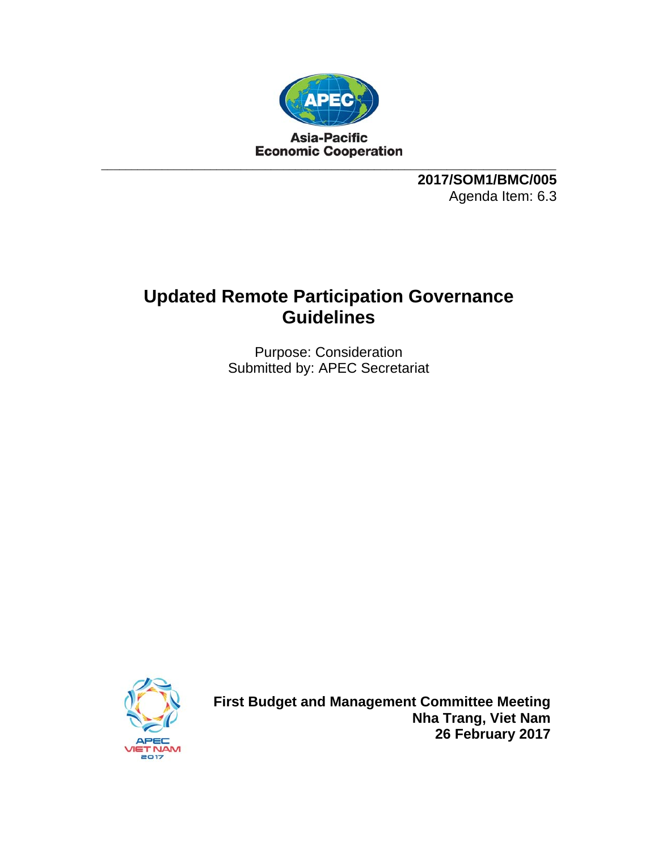

**2017/SOM1/BMC/005**  Agenda Item: 6.3

# **Updated Remote Participation Governance Guidelines**

Purpose: Consideration Submitted by: APEC Secretariat



**First Budget and Management Committee Meeting Nha Trang, Viet Nam 26 February 2017**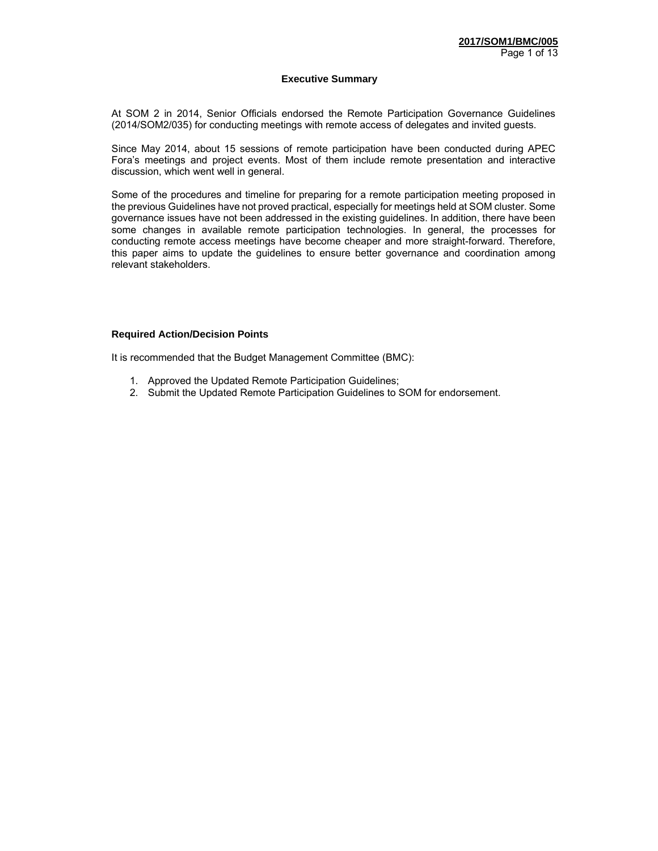#### **Executive Summary**

At SOM 2 in 2014, Senior Officials endorsed the Remote Participation Governance Guidelines (2014/SOM2/035) for conducting meetings with remote access of delegates and invited guests.

Since May 2014, about 15 sessions of remote participation have been conducted during APEC Fora's meetings and project events. Most of them include remote presentation and interactive discussion, which went well in general.

Some of the procedures and timeline for preparing for a remote participation meeting proposed in the previous Guidelines have not proved practical, especially for meetings held at SOM cluster. Some governance issues have not been addressed in the existing guidelines. In addition, there have been some changes in available remote participation technologies. In general, the processes for conducting remote access meetings have become cheaper and more straight-forward. Therefore, this paper aims to update the guidelines to ensure better governance and coordination among relevant stakeholders.

#### **Required Action/Decision Points**

It is recommended that the Budget Management Committee (BMC):

- 1. Approved the Updated Remote Participation Guidelines;
- 2. Submit the Updated Remote Participation Guidelines to SOM for endorsement.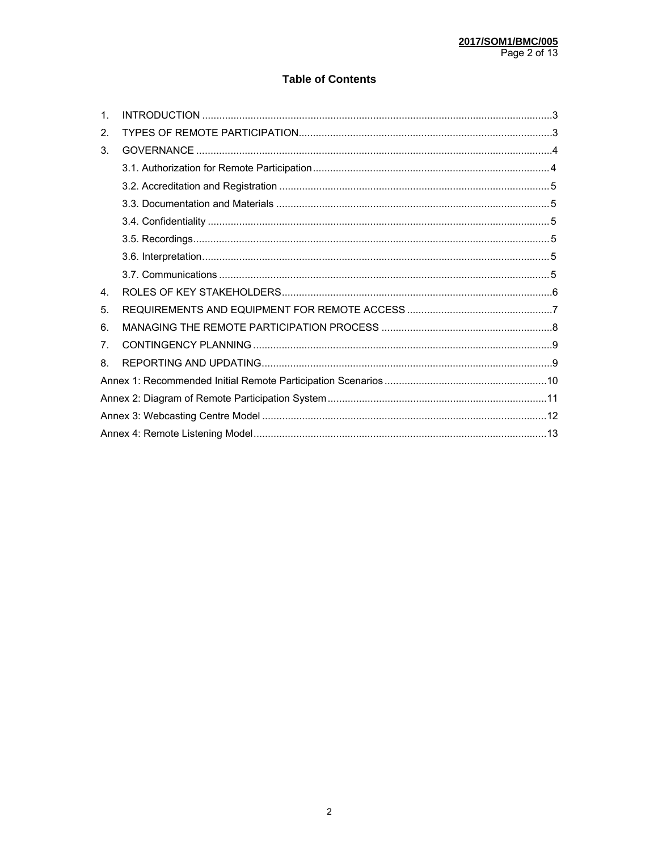## **Table of Contents**

| $\mathbf{1}$ . |  |
|----------------|--|
| 2.             |  |
| 3.             |  |
|                |  |
|                |  |
|                |  |
|                |  |
|                |  |
|                |  |
|                |  |
| 4 <sup>1</sup> |  |
| 5.             |  |
| 6.             |  |
| 7 <sub>1</sub> |  |
| 8.             |  |
|                |  |
|                |  |
|                |  |
|                |  |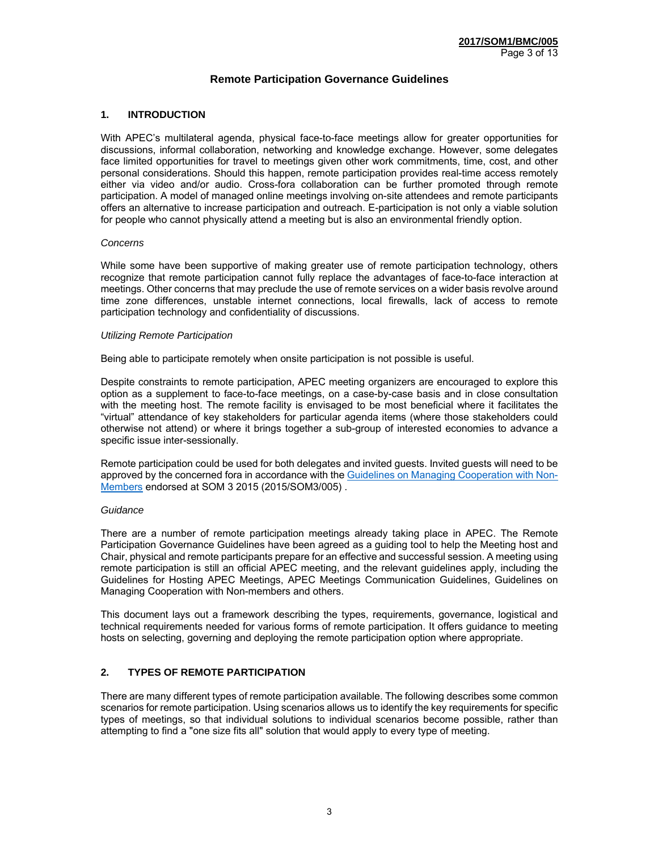### **Remote Participation Governance Guidelines**

#### **1. INTRODUCTION**

With APEC's multilateral agenda, physical face-to-face meetings allow for greater opportunities for discussions, informal collaboration, networking and knowledge exchange. However, some delegates face limited opportunities for travel to meetings given other work commitments, time, cost, and other personal considerations. Should this happen, remote participation provides real-time access remotely either via video and/or audio. Cross-fora collaboration can be further promoted through remote participation. A model of managed online meetings involving on-site attendees and remote participants offers an alternative to increase participation and outreach. E-participation is not only a viable solution for people who cannot physically attend a meeting but is also an environmental friendly option.

#### *Concerns*

While some have been supportive of making greater use of remote participation technology, others recognize that remote participation cannot fully replace the advantages of face-to-face interaction at meetings. Other concerns that may preclude the use of remote services on a wider basis revolve around time zone differences, unstable internet connections, local firewalls, lack of access to remote participation technology and confidentiality of discussions.

#### *Utilizing Remote Participation*

Being able to participate remotely when onsite participation is not possible is useful.

Despite constraints to remote participation, APEC meeting organizers are encouraged to explore this option as a supplement to face-to-face meetings, on a case-by-case basis and in close consultation with the meeting host. The remote facility is envisaged to be most beneficial where it facilitates the "virtual" attendance of key stakeholders for particular agenda items (where those stakeholders could otherwise not attend) or where it brings together a sub-group of interested economies to advance a specific issue inter-sessionally.

Remote participation could be used for both delegates and invited guests. Invited guests will need to be approved by the concerned fora in accordance with the Guidelines on Managing Cooperation with Non-Members endorsed at SOM 3 2015 (2015/SOM3/005) .

#### *Guidance*

There are a number of remote participation meetings already taking place in APEC. The Remote Participation Governance Guidelines have been agreed as a guiding tool to help the Meeting host and Chair, physical and remote participants prepare for an effective and successful session. A meeting using remote participation is still an official APEC meeting, and the relevant guidelines apply, including the Guidelines for Hosting APEC Meetings, APEC Meetings Communication Guidelines, Guidelines on Managing Cooperation with Non-members and others.

This document lays out a framework describing the types, requirements, governance, logistical and technical requirements needed for various forms of remote participation. It offers guidance to meeting hosts on selecting, governing and deploying the remote participation option where appropriate.

#### **2. TYPES OF REMOTE PARTICIPATION**

There are many different types of remote participation available. The following describes some common scenarios for remote participation. Using scenarios allows us to identify the key requirements for specific types of meetings, so that individual solutions to individual scenarios become possible, rather than attempting to find a "one size fits all" solution that would apply to every type of meeting.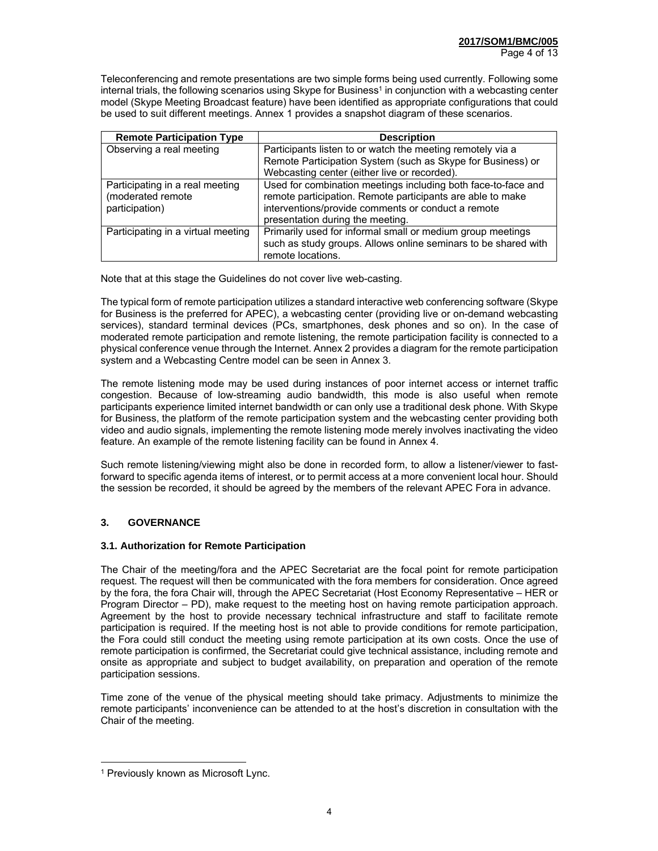Teleconferencing and remote presentations are two simple forms being used currently. Following some internal trials, the following scenarios using Skype for Business<sup>1</sup> in conjunction with a webcasting center model (Skype Meeting Broadcast feature) have been identified as appropriate configurations that could be used to suit different meetings. Annex 1 provides a snapshot diagram of these scenarios.

| <b>Remote Participation Type</b>                                       | <b>Description</b>                                                                                                                                                                |
|------------------------------------------------------------------------|-----------------------------------------------------------------------------------------------------------------------------------------------------------------------------------|
| Observing a real meeting                                               | Participants listen to or watch the meeting remotely via a                                                                                                                        |
|                                                                        | Remote Participation System (such as Skype for Business) or                                                                                                                       |
|                                                                        | Webcasting center (either live or recorded).                                                                                                                                      |
| Participating in a real meeting<br>(moderated remote<br>participation) | Used for combination meetings including both face-to-face and<br>remote participation. Remote participants are able to make<br>interventions/provide comments or conduct a remote |
|                                                                        | presentation during the meeting.                                                                                                                                                  |
| Participating in a virtual meeting                                     | Primarily used for informal small or medium group meetings                                                                                                                        |
|                                                                        | such as study groups. Allows online seminars to be shared with                                                                                                                    |
|                                                                        | remote locations.                                                                                                                                                                 |

Note that at this stage the Guidelines do not cover live web-casting.

The typical form of remote participation utilizes a standard interactive web conferencing software (Skype for Business is the preferred for APEC), a webcasting center (providing live or on-demand webcasting services), standard terminal devices (PCs, smartphones, desk phones and so on). In the case of moderated remote participation and remote listening, the remote participation facility is connected to a physical conference venue through the Internet. Annex 2 provides a diagram for the remote participation system and a Webcasting Centre model can be seen in Annex 3.

The remote listening mode may be used during instances of poor internet access or internet traffic congestion. Because of low-streaming audio bandwidth, this mode is also useful when remote participants experience limited internet bandwidth or can only use a traditional desk phone. With Skype for Business, the platform of the remote participation system and the webcasting center providing both video and audio signals, implementing the remote listening mode merely involves inactivating the video feature. An example of the remote listening facility can be found in Annex 4.

Such remote listening/viewing might also be done in recorded form, to allow a listener/viewer to fastforward to specific agenda items of interest, or to permit access at a more convenient local hour. Should the session be recorded, it should be agreed by the members of the relevant APEC Fora in advance.

## **3. GOVERNANCE**

#### **3.1. Authorization for Remote Participation**

The Chair of the meeting/fora and the APEC Secretariat are the focal point for remote participation request. The request will then be communicated with the fora members for consideration. Once agreed by the fora, the fora Chair will, through the APEC Secretariat (Host Economy Representative – HER or Program Director – PD), make request to the meeting host on having remote participation approach. Agreement by the host to provide necessary technical infrastructure and staff to facilitate remote participation is required. If the meeting host is not able to provide conditions for remote participation, the Fora could still conduct the meeting using remote participation at its own costs. Once the use of remote participation is confirmed, the Secretariat could give technical assistance, including remote and onsite as appropriate and subject to budget availability, on preparation and operation of the remote participation sessions.

Time zone of the venue of the physical meeting should take primacy. Adjustments to minimize the remote participants' inconvenience can be attended to at the host's discretion in consultation with the Chair of the meeting.

-

<sup>&</sup>lt;sup>1</sup> Previously known as Microsoft Lync.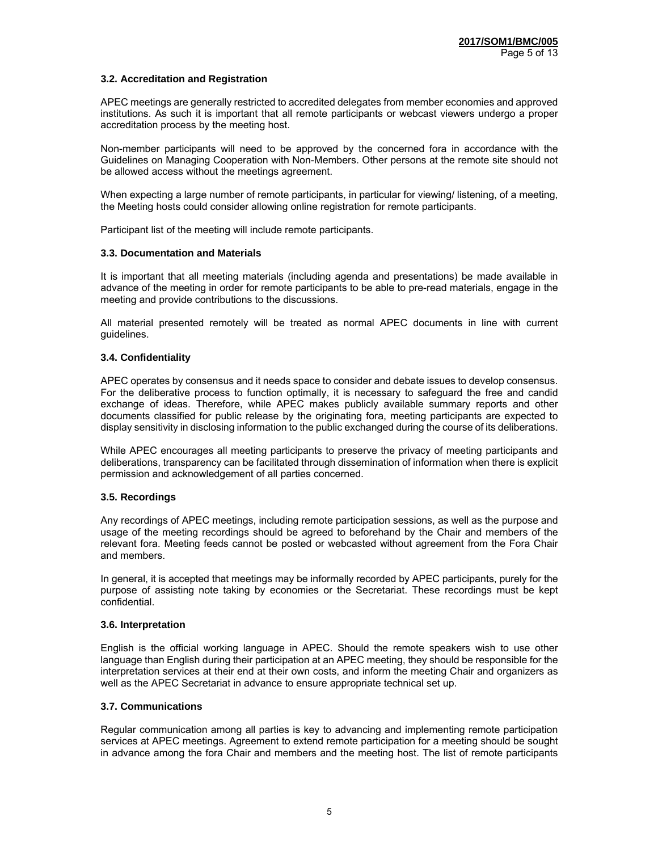#### **3.2. Accreditation and Registration**

APEC meetings are generally restricted to accredited delegates from member economies and approved institutions. As such it is important that all remote participants or webcast viewers undergo a proper accreditation process by the meeting host.

Non-member participants will need to be approved by the concerned fora in accordance with the Guidelines on Managing Cooperation with Non-Members. Other persons at the remote site should not be allowed access without the meetings agreement.

When expecting a large number of remote participants, in particular for viewing/ listening, of a meeting, the Meeting hosts could consider allowing online registration for remote participants.

Participant list of the meeting will include remote participants.

#### **3.3. Documentation and Materials**

It is important that all meeting materials (including agenda and presentations) be made available in advance of the meeting in order for remote participants to be able to pre-read materials, engage in the meeting and provide contributions to the discussions.

All material presented remotely will be treated as normal APEC documents in line with current guidelines.

#### **3.4. Confidentiality**

APEC operates by consensus and it needs space to consider and debate issues to develop consensus. For the deliberative process to function optimally, it is necessary to safeguard the free and candid exchange of ideas. Therefore, while APEC makes publicly available summary reports and other documents classified for public release by the originating fora, meeting participants are expected to display sensitivity in disclosing information to the public exchanged during the course of its deliberations.

While APEC encourages all meeting participants to preserve the privacy of meeting participants and deliberations, transparency can be facilitated through dissemination of information when there is explicit permission and acknowledgement of all parties concerned.

#### **3.5. Recordings**

Any recordings of APEC meetings, including remote participation sessions, as well as the purpose and usage of the meeting recordings should be agreed to beforehand by the Chair and members of the relevant fora. Meeting feeds cannot be posted or webcasted without agreement from the Fora Chair and members.

In general, it is accepted that meetings may be informally recorded by APEC participants, purely for the purpose of assisting note taking by economies or the Secretariat. These recordings must be kept confidential.

#### **3.6. Interpretation**

English is the official working language in APEC. Should the remote speakers wish to use other language than English during their participation at an APEC meeting, they should be responsible for the interpretation services at their end at their own costs, and inform the meeting Chair and organizers as well as the APEC Secretariat in advance to ensure appropriate technical set up.

#### **3.7. Communications**

Regular communication among all parties is key to advancing and implementing remote participation services at APEC meetings. Agreement to extend remote participation for a meeting should be sought in advance among the fora Chair and members and the meeting host. The list of remote participants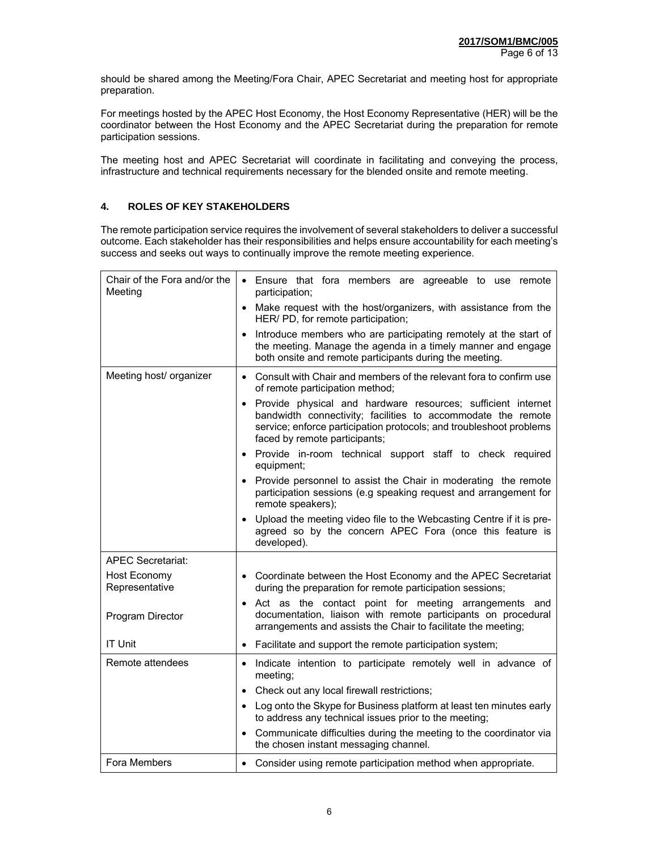should be shared among the Meeting/Fora Chair, APEC Secretariat and meeting host for appropriate preparation.

For meetings hosted by the APEC Host Economy, the Host Economy Representative (HER) will be the coordinator between the Host Economy and the APEC Secretariat during the preparation for remote participation sessions.

The meeting host and APEC Secretariat will coordinate in facilitating and conveying the process, infrastructure and technical requirements necessary for the blended onsite and remote meeting.

## **4. ROLES OF KEY STAKEHOLDERS**

The remote participation service requires the involvement of several stakeholders to deliver a successful outcome. Each stakeholder has their responsibilities and helps ensure accountability for each meeting's success and seeks out ways to continually improve the remote meeting experience.

| Chair of the Fora and/or the<br>Meeting | • Ensure that fora members are agreeable to use remote<br>participation;                                                                                                                                                                          |
|-----------------------------------------|---------------------------------------------------------------------------------------------------------------------------------------------------------------------------------------------------------------------------------------------------|
|                                         | Make request with the host/organizers, with assistance from the<br>HER/ PD, for remote participation;                                                                                                                                             |
|                                         | Introduce members who are participating remotely at the start of<br>the meeting. Manage the agenda in a timely manner and engage<br>both onsite and remote participants during the meeting.                                                       |
| Meeting host/ organizer                 | Consult with Chair and members of the relevant fora to confirm use<br>$\bullet$<br>of remote participation method;                                                                                                                                |
|                                         | Provide physical and hardware resources; sufficient internet<br>$\bullet$<br>bandwidth connectivity; facilities to accommodate the remote<br>service; enforce participation protocols; and troubleshoot problems<br>faced by remote participants; |
|                                         | Provide in-room technical support staff to check required<br>equipment;                                                                                                                                                                           |
|                                         | Provide personnel to assist the Chair in moderating the remote<br>participation sessions (e.g speaking request and arrangement for<br>remote speakers);                                                                                           |
|                                         | Upload the meeting video file to the Webcasting Centre if it is pre-<br>agreed so by the concern APEC Fora (once this feature is<br>developed).                                                                                                   |
| <b>APEC Secretariat:</b>                |                                                                                                                                                                                                                                                   |
| <b>Host Economy</b><br>Representative   | Coordinate between the Host Economy and the APEC Secretariat<br>$\bullet$<br>during the preparation for remote participation sessions;                                                                                                            |
| Program Director                        | Act as the contact point for meeting arrangements and<br>$\bullet$<br>documentation, liaison with remote participants on procedural<br>arrangements and assists the Chair to facilitate the meeting;                                              |
| <b>IT Unit</b>                          | Facilitate and support the remote participation system;<br>$\bullet$                                                                                                                                                                              |
| Remote attendees                        | Indicate intention to participate remotely well in advance of<br>$\bullet$<br>meeting;                                                                                                                                                            |
|                                         | Check out any local firewall restrictions;                                                                                                                                                                                                        |
|                                         | Log onto the Skype for Business platform at least ten minutes early<br>$\bullet$<br>to address any technical issues prior to the meeting;                                                                                                         |
|                                         | Communicate difficulties during the meeting to the coordinator via<br>$\bullet$<br>the chosen instant messaging channel.                                                                                                                          |
| Fora Members                            | Consider using remote participation method when appropriate.                                                                                                                                                                                      |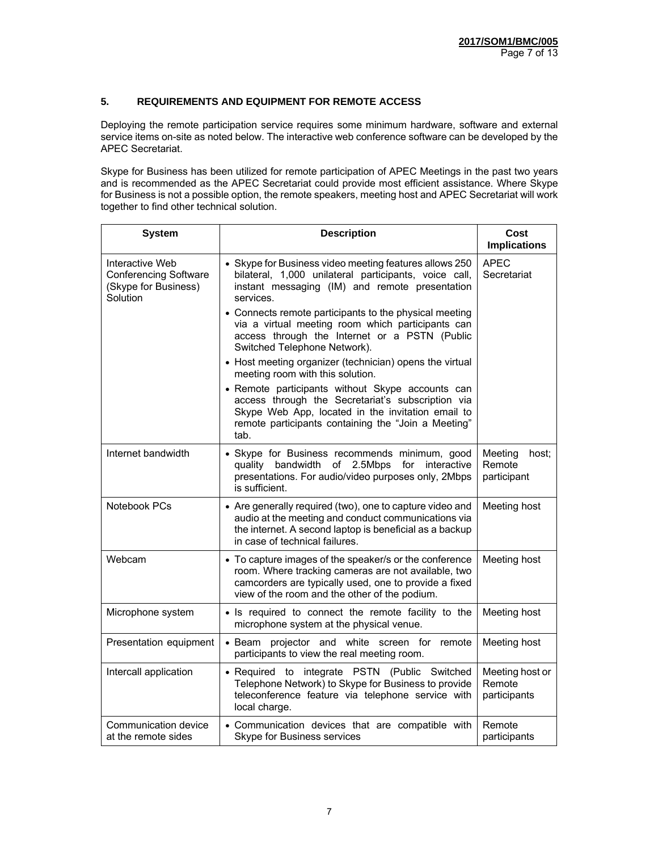## **5. REQUIREMENTS AND EQUIPMENT FOR REMOTE ACCESS**

Deploying the remote participation service requires some minimum hardware, software and external service items on-site as noted below. The interactive web conference software can be developed by the APEC Secretariat.

Skype for Business has been utilized for remote participation of APEC Meetings in the past two years and is recommended as the APEC Secretariat could provide most efficient assistance. Where Skype for Business is not a possible option, the remote speakers, meeting host and APEC Secretariat will work together to find other technical solution.

| <b>System</b>                                                                       | <b>Description</b>                                                                                                                                                                                                        | Cost<br><b>Implications</b>               |
|-------------------------------------------------------------------------------------|---------------------------------------------------------------------------------------------------------------------------------------------------------------------------------------------------------------------------|-------------------------------------------|
| Interactive Web<br><b>Conferencing Software</b><br>(Skype for Business)<br>Solution | • Skype for Business video meeting features allows 250<br>bilateral, 1,000 unilateral participants, voice call,<br>instant messaging (IM) and remote presentation<br>services.                                            | APEC<br>Secretariat                       |
|                                                                                     | • Connects remote participants to the physical meeting<br>via a virtual meeting room which participants can<br>access through the Internet or a PSTN (Public<br>Switched Telephone Network).                              |                                           |
|                                                                                     | • Host meeting organizer (technician) opens the virtual<br>meeting room with this solution.                                                                                                                               |                                           |
|                                                                                     | • Remote participants without Skype accounts can<br>access through the Secretariat's subscription via<br>Skype Web App, located in the invitation email to<br>remote participants containing the "Join a Meeting"<br>tab. |                                           |
| Internet bandwidth                                                                  | • Skype for Business recommends minimum, good<br>of 2.5Mbps<br>quality bandwidth<br>for<br>interactive<br>presentations. For audio/video purposes only, 2Mbps<br>is sufficient.                                           | Meeting<br>host:<br>Remote<br>participant |
| Notebook PCs                                                                        | • Are generally required (two), one to capture video and<br>audio at the meeting and conduct communications via<br>the internet. A second laptop is beneficial as a backup<br>in case of technical failures.              | Meeting host                              |
| Webcam                                                                              | • To capture images of the speaker/s or the conference<br>room. Where tracking cameras are not available, two<br>camcorders are typically used, one to provide a fixed<br>view of the room and the other of the podium.   | Meeting host                              |
| Microphone system                                                                   | • Is required to connect the remote facility to the<br>microphone system at the physical venue.                                                                                                                           | Meeting host                              |
| Presentation equipment                                                              | · Beam projector and white screen for remote<br>participants to view the real meeting room.                                                                                                                               | Meeting host                              |
| Intercall application                                                               | · Required to integrate PSTN (Public Switched<br>Telephone Network) to Skype for Business to provide<br>teleconference feature via telephone service with<br>local charge.                                                | Meeting host or<br>Remote<br>participants |
| Communication device<br>at the remote sides                                         | • Communication devices that are compatible with<br><b>Skype for Business services</b>                                                                                                                                    | Remote<br>participants                    |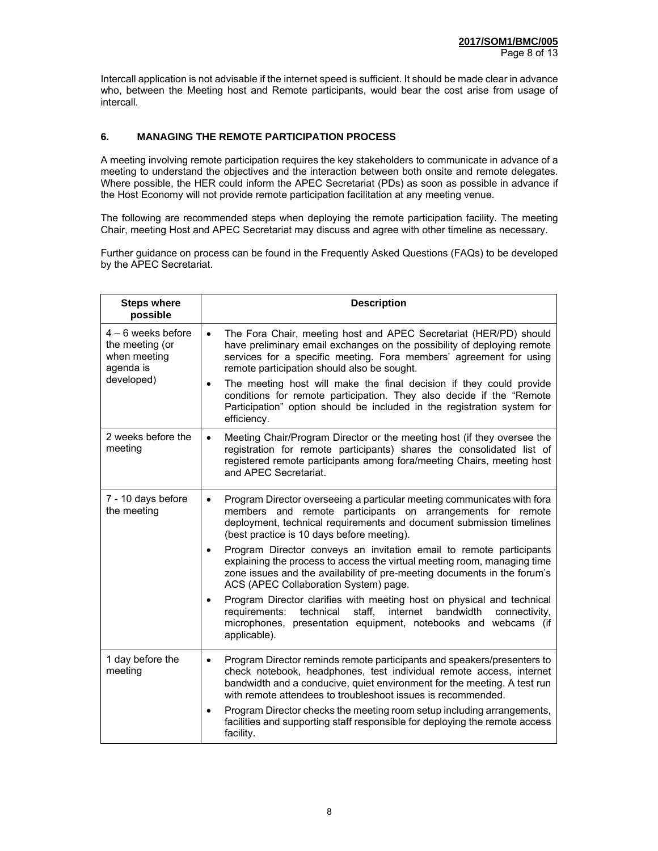Intercall application is not advisable if the internet speed is sufficient. It should be made clear in advance who, between the Meeting host and Remote participants, would bear the cost arise from usage of intercall.

## **6. MANAGING THE REMOTE PARTICIPATION PROCESS**

A meeting involving remote participation requires the key stakeholders to communicate in advance of a meeting to understand the objectives and the interaction between both onsite and remote delegates. Where possible, the HER could inform the APEC Secretariat (PDs) as soon as possible in advance if the Host Economy will not provide remote participation facilitation at any meeting venue.

The following are recommended steps when deploying the remote participation facility. The meeting Chair, meeting Host and APEC Secretariat may discuss and agree with other timeline as necessary.

Further guidance on process can be found in the Frequently Asked Questions (FAQs) to be developed by the APEC Secretariat.

| <b>Steps where</b><br>possible                                                     | <b>Description</b>                                                                                                                                                                                                                                                                                                                                                                                                                                                                                                                                               |
|------------------------------------------------------------------------------------|------------------------------------------------------------------------------------------------------------------------------------------------------------------------------------------------------------------------------------------------------------------------------------------------------------------------------------------------------------------------------------------------------------------------------------------------------------------------------------------------------------------------------------------------------------------|
| $4 - 6$ weeks before<br>the meeting (or<br>when meeting<br>agenda is<br>developed) | The Fora Chair, meeting host and APEC Secretariat (HER/PD) should<br>$\bullet$<br>have preliminary email exchanges on the possibility of deploying remote<br>services for a specific meeting. Fora members' agreement for using<br>remote participation should also be sought.<br>The meeting host will make the final decision if they could provide<br>conditions for remote participation. They also decide if the "Remote<br>Participation" option should be included in the registration system for<br>efficiency.                                          |
| 2 weeks before the<br>meeting                                                      | Meeting Chair/Program Director or the meeting host (if they oversee the<br>$\bullet$<br>registration for remote participants) shares the consolidated list of<br>registered remote participants among fora/meeting Chairs, meeting host<br>and APEC Secretariat.                                                                                                                                                                                                                                                                                                 |
| 7 - 10 days before<br>the meeting                                                  | Program Director overseeing a particular meeting communicates with fora<br>$\bullet$<br>and remote participants on arrangements for remote<br>members<br>deployment, technical requirements and document submission timelines<br>(best practice is 10 days before meeting).<br>Program Director conveys an invitation email to remote participants<br>$\bullet$<br>explaining the process to access the virtual meeting room, managing time<br>zone issues and the availability of pre-meeting documents in the forum's<br>ACS (APEC Collaboration System) page. |
|                                                                                    | Program Director clarifies with meeting host on physical and technical<br>requirements: technical staff, internet bandwidth<br>connectivity,<br>microphones, presentation equipment, notebooks and webcams (if<br>applicable).                                                                                                                                                                                                                                                                                                                                   |
| 1 day before the<br>meeting                                                        | Program Director reminds remote participants and speakers/presenters to<br>$\bullet$<br>check notebook, headphones, test individual remote access, internet<br>bandwidth and a conducive, quiet environment for the meeting. A test run<br>with remote attendees to troubleshoot issues is recommended.<br>Program Director checks the meeting room setup including arrangements,<br>$\bullet$<br>facilities and supporting staff responsible for deploying the remote access                                                                                    |
|                                                                                    | facility.                                                                                                                                                                                                                                                                                                                                                                                                                                                                                                                                                        |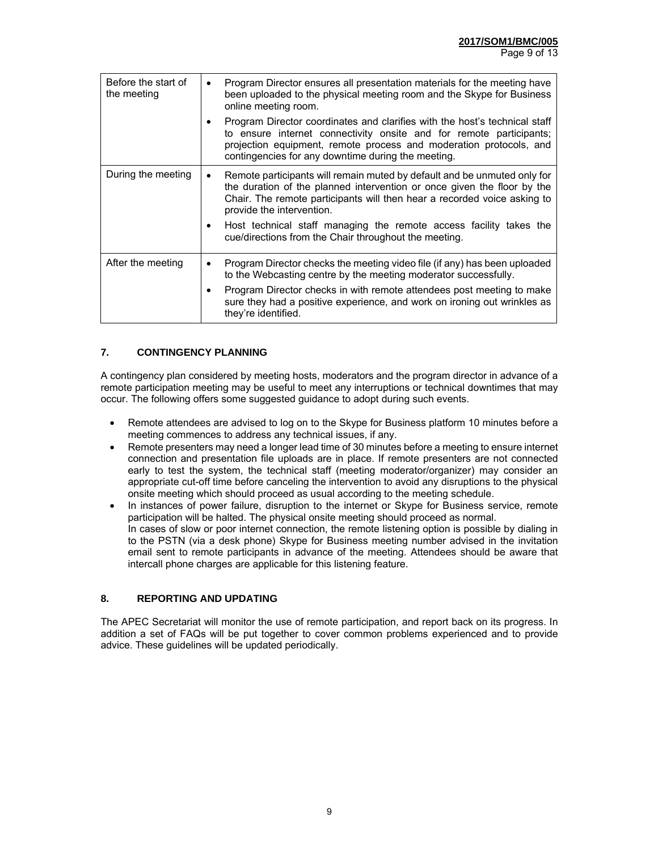| Before the start of<br>the meeting | Program Director ensures all presentation materials for the meeting have<br>been uploaded to the physical meeting room and the Skype for Business<br>online meeting room.                                                                                                                                                                                    |
|------------------------------------|--------------------------------------------------------------------------------------------------------------------------------------------------------------------------------------------------------------------------------------------------------------------------------------------------------------------------------------------------------------|
|                                    | Program Director coordinates and clarifies with the host's technical staff<br>٠<br>to ensure internet connectivity onsite and for remote participants;<br>projection equipment, remote process and moderation protocols, and<br>contingencies for any downtime during the meeting.                                                                           |
| During the meeting                 | Remote participants will remain muted by default and be unmuted only for<br>$\bullet$<br>the duration of the planned intervention or once given the floor by the<br>Chair. The remote participants will then hear a recorded voice asking to<br>provide the intervention.<br>Host technical staff managing the remote access facility takes the<br>$\bullet$ |
|                                    | cue/directions from the Chair throughout the meeting.                                                                                                                                                                                                                                                                                                        |
| After the meeting                  | Program Director checks the meeting video file (if any) has been uploaded<br>٠<br>to the Webcasting centre by the meeting moderator successfully.                                                                                                                                                                                                            |
|                                    | Program Director checks in with remote attendees post meeting to make<br>sure they had a positive experience, and work on ironing out wrinkles as<br>they're identified.                                                                                                                                                                                     |

## **7. CONTINGENCY PLANNING**

A contingency plan considered by meeting hosts, moderators and the program director in advance of a remote participation meeting may be useful to meet any interruptions or technical downtimes that may occur. The following offers some suggested guidance to adopt during such events.

- Remote attendees are advised to log on to the Skype for Business platform 10 minutes before a meeting commences to address any technical issues, if any.
- Remote presenters may need a longer lead time of 30 minutes before a meeting to ensure internet connection and presentation file uploads are in place. If remote presenters are not connected early to test the system, the technical staff (meeting moderator/organizer) may consider an appropriate cut-off time before canceling the intervention to avoid any disruptions to the physical onsite meeting which should proceed as usual according to the meeting schedule.
- In instances of power failure, disruption to the internet or Skype for Business service, remote participation will be halted. The physical onsite meeting should proceed as normal. In cases of slow or poor internet connection, the remote listening option is possible by dialing in to the PSTN (via a desk phone) Skype for Business meeting number advised in the invitation email sent to remote participants in advance of the meeting. Attendees should be aware that intercall phone charges are applicable for this listening feature.

#### **8. REPORTING AND UPDATING**

The APEC Secretariat will monitor the use of remote participation, and report back on its progress. In addition a set of FAQs will be put together to cover common problems experienced and to provide advice. These guidelines will be updated periodically.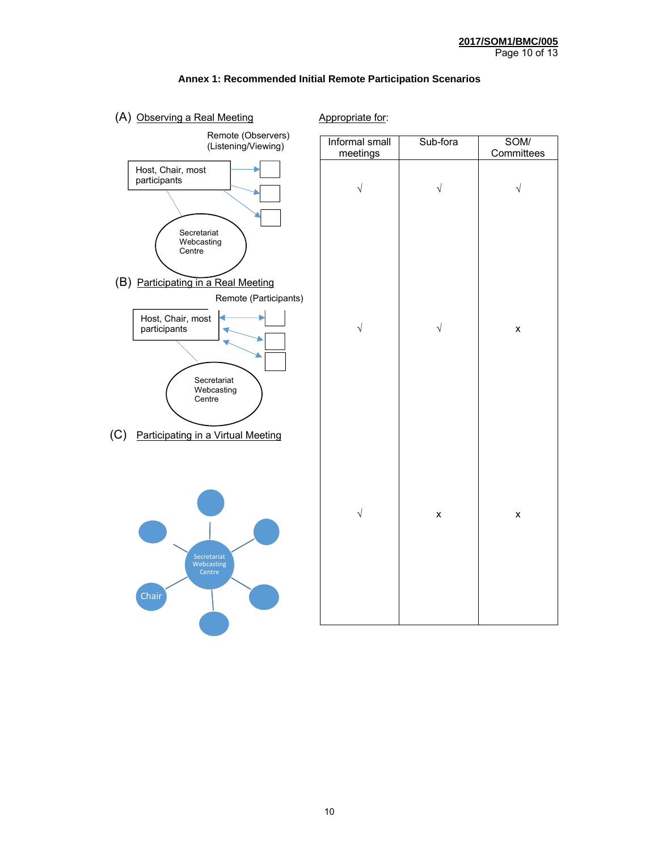

#### **Annex 1: Recommended Initial Remote Participation Scenarios**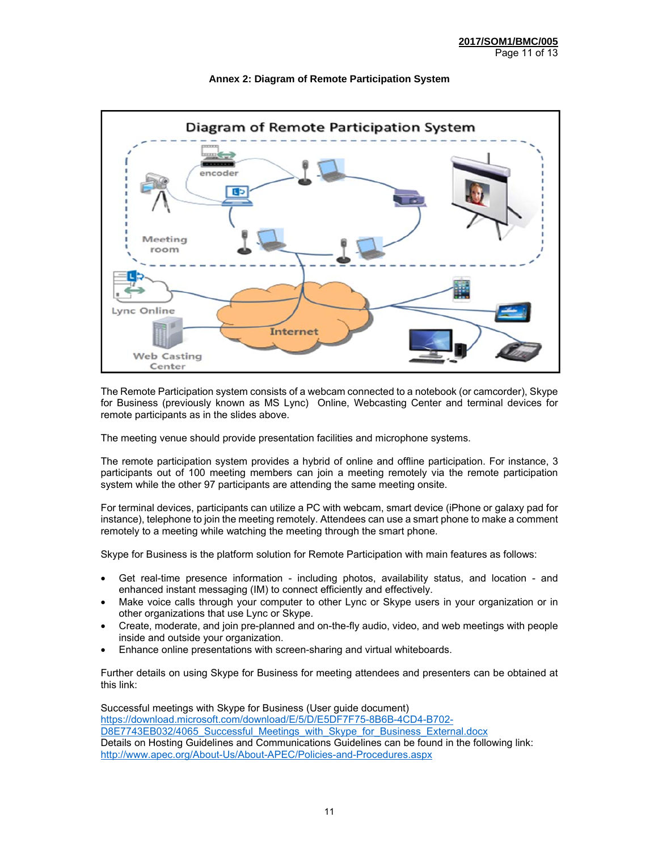

#### **Annex 2: Diagram of Remote Participation System**

The Remote Participation system consists of a webcam connected to a notebook (or camcorder), Skype for Business (previously known as MS Lync) Online, Webcasting Center and terminal devices for remote participants as in the slides above.

The meeting venue should provide presentation facilities and microphone systems.

The remote participation system provides a hybrid of online and offline participation. For instance, 3 participants out of 100 meeting members can join a meeting remotely via the remote participation system while the other 97 participants are attending the same meeting onsite.

For terminal devices, participants can utilize a PC with webcam, smart device (iPhone or galaxy pad for instance), telephone to join the meeting remotely. Attendees can use a smart phone to make a comment remotely to a meeting while watching the meeting through the smart phone.

Skype for Business is the platform solution for Remote Participation with main features as follows:

- Get real-time presence information including photos, availability status, and location and enhanced instant messaging (IM) to connect efficiently and effectively.
- Make voice calls through your computer to other Lync or Skype users in your organization or in other organizations that use Lync or Skype.
- Create, moderate, and join pre-planned and on-the-fly audio, video, and web meetings with people inside and outside your organization.
- Enhance online presentations with screen-sharing and virtual whiteboards.

Further details on using Skype for Business for meeting attendees and presenters can be obtained at this link:

Successful meetings with Skype for Business (User guide document) https://download.microsoft.com/download/E/5/D/E5DF7F75-8B6B-4CD4-B702- D8E7743EB032/4065\_Successful\_Meetings\_with\_Skype\_for\_Business\_External.docx Details on Hosting Guidelines and Communications Guidelines can be found in the following link: http://www.apec.org/About-Us/About-APEC/Policies-and-Procedures.aspx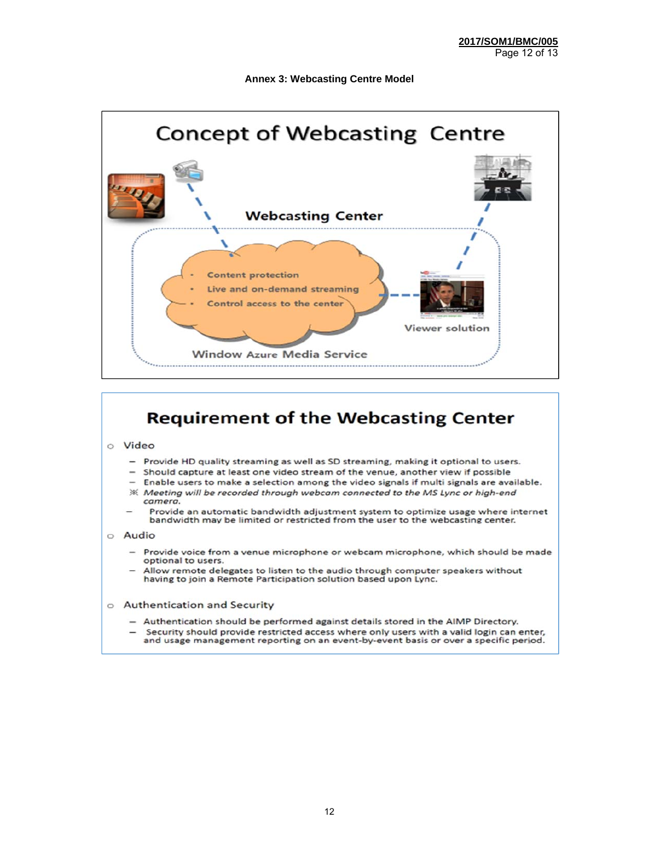#### **Annex 3: Webcasting Centre Model**



## **Requirement of the Webcasting Center**

#### o Video

- $\overline{\phantom{0}}$ Provide HD quality streaming as well as SD streaming, making it optional to users.
- Should capture at least one video stream of the venue, another view if possible
- Enable users to make a selection among the video signals if multi signals are available. ※ Meeting will be recorded through webcam connected to the MS Lync or high-end camera.
- Provide an automatic bandwidth adjustment system to optimize usage where internet bandwidth may be limited or restricted from the user to the webcasting center.

#### o Audio

- Provide voice from a venue microphone or webcam microphone, which should be made optional to users.
- Allow remote delegates to listen to the audio through computer speakers without having to join a Remote Participation solution based upon Lync.
- o Authentication and Security
	- Authentication should be performed against details stored in the AIMP Directory.
	- Security should provide restricted access where only users with a valid login can enter, and usage management reporting on an event-by-event basis or over a specific period.